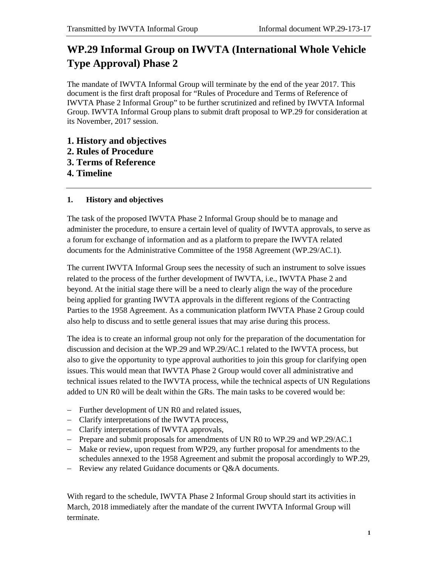# **WP.29 Informal Group on IWVTA (International Whole Vehicle Type Approval) Phase 2**

The mandate of IWVTA Informal Group will terminate by the end of the year 2017. This document is the first draft proposal for "Rules of Procedure and Terms of Reference of IWVTA Phase 2 Informal Group" to be further scrutinized and refined by IWVTA Informal Group. IWVTA Informal Group plans to submit draft proposal to WP.29 for consideration at its November, 2017 session.

- **1. History and objectives**
- **2. Rules of Procedure**
- **3. Terms of Reference**
- **4. Timeline**

# **1. History and objectives**

The task of the proposed IWVTA Phase 2 Informal Group should be to manage and administer the procedure, to ensure a certain level of quality of IWVTA approvals, to serve as a forum for exchange of information and as a platform to prepare the IWVTA related documents for the Administrative Committee of the 1958 Agreement (WP.29/AC.1).

The current IWVTA Informal Group sees the necessity of such an instrument to solve issues related to the process of the further development of IWVTA, i.e., IWVTA Phase 2 and beyond. At the initial stage there will be a need to clearly align the way of the procedure being applied for granting IWVTA approvals in the different regions of the Contracting Parties to the 1958 Agreement. As a communication platform IWVTA Phase 2 Group could also help to discuss and to settle general issues that may arise during this process.

The idea is to create an informal group not only for the preparation of the documentation for discussion and decision at the WP.29 and WP.29/AC.1 related to the IWVTA process, but also to give the opportunity to type approval authorities to join this group for clarifying open issues. This would mean that IWVTA Phase 2 Group would cover all administrative and technical issues related to the IWVTA process, while the technical aspects of UN Regulations added to UN R0 will be dealt within the GRs. The main tasks to be covered would be:

- Further development of UN R0 and related issues,
- Clarify interpretations of the IWVTA process,
- Clarify interpretations of IWVTA approvals,
- Prepare and submit proposals for amendments of UN R0 to WP.29 and WP.29/AC.1
- Make or review, upon request from WP29, any further proposal for amendments to the schedules annexed to the 1958 Agreement and submit the proposal accordingly to WP.29,
- Review any related Guidance documents or Q&A documents.

With regard to the schedule, IWVTA Phase 2 Informal Group should start its activities in March, 2018 immediately after the mandate of the current IWVTA Informal Group will terminate.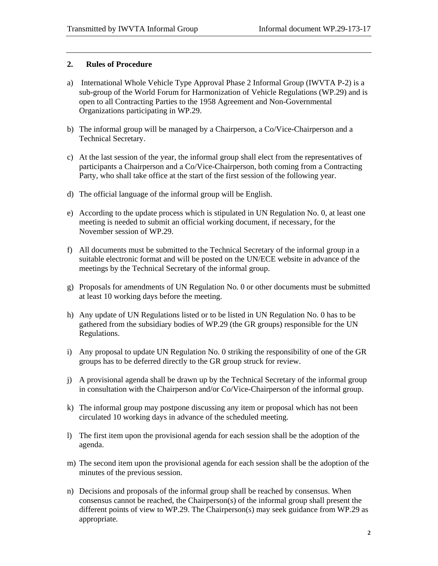#### **2. Rules of Procedure**

- a) International Whole Vehicle Type Approval Phase 2 Informal Group (IWVTA P-2) is a sub-group of the World Forum for Harmonization of Vehicle Regulations (WP.29) and is open to all Contracting Parties to the 1958 Agreement and Non-Governmental Organizations participating in WP.29.
- b) The informal group will be managed by a Chairperson, a Co/Vice-Chairperson and a Technical Secretary.
- c) At the last session of the year, the informal group shall elect from the representatives of participants a Chairperson and a Co/Vice-Chairperson, both coming from a Contracting Party, who shall take office at the start of the first session of the following year.
- d) The official language of the informal group will be English.
- e) According to the update process which is stipulated in UN Regulation No. 0, at least one meeting is needed to submit an official working document, if necessary, for the November session of WP.29.
- f) All documents must be submitted to the Technical Secretary of the informal group in a suitable electronic format and will be posted on the UN/ECE website in advance of the meetings by the Technical Secretary of the informal group.
- g) Proposals for amendments of UN Regulation No. 0 or other documents must be submitted at least 10 working days before the meeting.
- h) Any update of UN Regulations listed or to be listed in UN Regulation No. 0 has to be gathered from the subsidiary bodies of WP.29 (the GR groups) responsible for the UN Regulations.
- i) Any proposal to update UN Regulation No. 0 striking the responsibility of one of the GR groups has to be deferred directly to the GR group struck for review.
- j) A provisional agenda shall be drawn up by the Technical Secretary of the informal group in consultation with the Chairperson and/or Co/Vice-Chairperson of the informal group.
- k) The informal group may postpone discussing any item or proposal which has not been circulated 10 working days in advance of the scheduled meeting.
- l) The first item upon the provisional agenda for each session shall be the adoption of the agenda.
- m) The second item upon the provisional agenda for each session shall be the adoption of the minutes of the previous session.
- n) Decisions and proposals of the informal group shall be reached by consensus. When consensus cannot be reached, the Chairperson(s) of the informal group shall present the different points of view to WP.29. The Chairperson(s) may seek guidance from WP.29 as appropriate.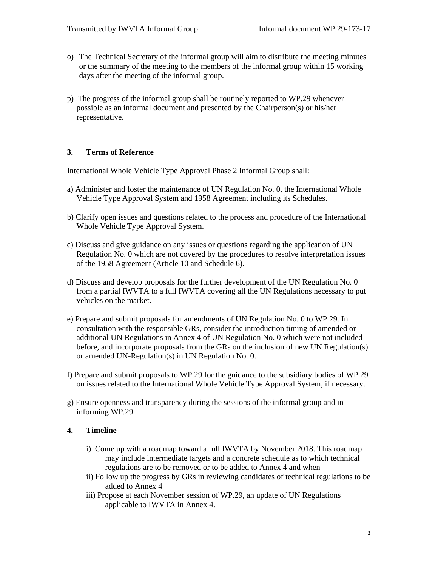- o) The Technical Secretary of the informal group will aim to distribute the meeting minutes or the summary of the meeting to the members of the informal group within 15 working days after the meeting of the informal group.
- p) The progress of the informal group shall be routinely reported to WP.29 whenever possible as an informal document and presented by the Chairperson(s) or his/her representative.

## **3. Terms of Reference**

International Whole Vehicle Type Approval Phase 2 Informal Group shall:

- a) Administer and foster the maintenance of UN Regulation No. 0, the International Whole Vehicle Type Approval System and 1958 Agreement including its Schedules.
- b) Clarify open issues and questions related to the process and procedure of the International Whole Vehicle Type Approval System.
- c) Discuss and give guidance on any issues or questions regarding the application of UN Regulation No. 0 which are not covered by the procedures to resolve interpretation issues of the 1958 Agreement (Article 10 and Schedule 6).
- d) Discuss and develop proposals for the further development of the UN Regulation No. 0 from a partial IWVTA to a full IWVTA covering all the UN Regulations necessary to put vehicles on the market.
- e) Prepare and submit proposals for amendments of UN Regulation No. 0 to WP.29. In consultation with the responsible GRs, consider the introduction timing of amended or additional UN Regulations in Annex 4 of UN Regulation No. 0 which were not included before, and incorporate proposals from the GRs on the inclusion of new UN Regulation(s) or amended UN-Regulation(s) in UN Regulation No. 0.
- f) Prepare and submit proposals to WP.29 for the guidance to the subsidiary bodies of WP.29 on issues related to the International Whole Vehicle Type Approval System, if necessary.
- g) Ensure openness and transparency during the sessions of the informal group and in informing WP.29.

## **4. Timeline**

- i) Come up with a roadmap toward a full IWVTA by November 2018. This roadmap may include intermediate targets and a concrete schedule as to which technical regulations are to be removed or to be added to Annex 4 and when
- ii) Follow up the progress by GRs in reviewing candidates of technical regulations to be added to Annex 4
- iii) Propose at each November session of WP.29, an update of UN Regulations applicable to IWVTA in Annex 4.